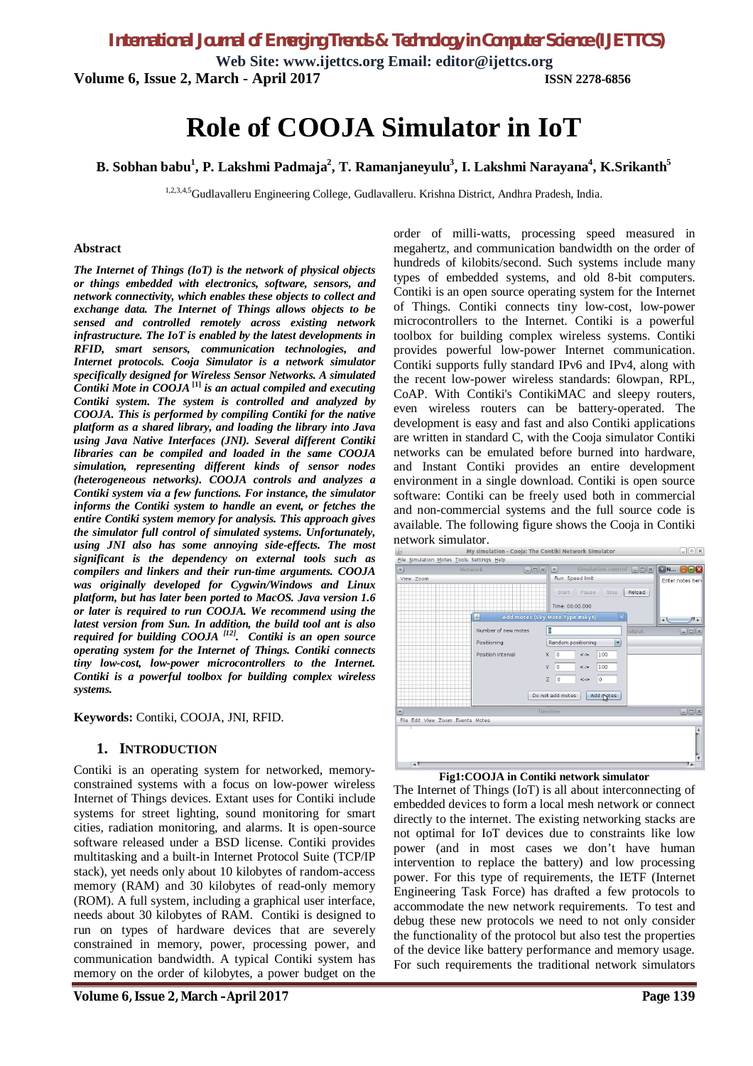**Web Site: www.ijettcs.org Email: editor@ijettcs.org Volume 6, Issue 2, March - April 2017 ISSN 2278-6856**

**Role of COOJA Simulator in IoT**

**B. Sobhan babu<sup>1</sup> , P. Lakshmi Padmaja<sup>2</sup> , T. Ramanjaneyulu<sup>3</sup> , I. Lakshmi Narayana<sup>4</sup> , K.Srikanth<sup>5</sup>**

1,2,3,4,5Gudlavalleru Engineering College, Gudlavalleru. Krishna District, Andhra Pradesh, India.

#### **Abstract**

*The Internet of Things (IoT) is the network of physical objects or things embedded with electronics, software, sensors, and network connectivity, which enables these objects to collect and exchange data. The Internet of Things allows objects to be sensed and controlled remotely across existing network infrastructure. The IoT is enabled by the latest developments in RFID, smart sensors, communication technologies, and Internet protocols. Cooja Simulator is a network simulator specifically designed for Wireless Sensor Networks. A simulated Contiki Mote in COOJA* **[1]** *is an actual compiled and executing Contiki system. The system is controlled and analyzed by COOJA. This is performed by compiling Contiki for the native platform as a shared library, and loading the library into Java using Java Native Interfaces (JNI). Several different Contiki libraries can be compiled and loaded in the same COOJA simulation, representing different kinds of sensor nodes (heterogeneous networks). COOJA controls and analyzes a Contiki system via a few functions. For instance, the simulator informs the Contiki system to handle an event, or fetches the entire Contiki system memory for analysis. This approach gives the simulator full control of simulated systems. Unfortunately, using JNI also has some annoying side-effects. The most significant is the dependency on external tools such as compilers and linkers and their run-time arguments. COOJA was originally developed for Cygwin/Windows and Linux platform, but has later been ported to MacOS. Java version 1.6 or later is required to run COOJA. We recommend using the latest version from Sun. In addition, the build tool ant is also required for building COOJA [12]. Contiki is an open source operating system for the Internet of Things. Contiki connects tiny low-cost, low-power microcontrollers to the Internet. Contiki is a powerful toolbox for building complex wireless systems.* 

**Keywords:** Contiki, COOJA, JNI, RFID.

#### **1. INTRODUCTION**

Contiki is an operating system for networked, memoryconstrained systems with a focus on low-power wireless Internet of Things devices. Extant uses for Contiki include systems for street lighting, sound monitoring for smart cities, radiation monitoring, and alarms. It is open-source software released under a BSD license. Contiki provides multitasking and a built-in Internet Protocol Suite (TCP/IP stack), yet needs only about 10 kilobytes of random-access memory (RAM) and 30 kilobytes of read-only memory (ROM). A full system, including a graphical user interface, needs about 30 kilobytes of RAM. Contiki is designed to run on types of hardware devices that are severely constrained in memory, power, processing power, and communication bandwidth. A typical Contiki system has memory on the order of kilobytes, a power budget on the

order of milli-watts, processing speed measured in megahertz, and communication bandwidth on the order of hundreds of kilobits/second. Such systems include many types of embedded systems, and old 8-bit computers. Contiki is an open source operating system for the Internet of Things. Contiki connects tiny low-cost, low-power microcontrollers to the Internet. Contiki is a powerful toolbox for building complex wireless systems. Contiki provides powerful low-power Internet communication. Contiki supports fully standard IPv6 and IPv4, along with the recent low-power wireless standards: 6lowpan, RPL, CoAP. With Contiki's ContikiMAC and sleepy routers, even wireless routers can be battery-operated. The development is easy and fast and also Contiki applications are written in standard C, with the Cooja simulator Contiki networks can be emulated before burned into hardware, and Instant Contiki provides an entire development environment in a single download. Contiki is open source software: Contiki can be freely used both in commercial and non-commercial systems and the full source code is available. The following figure shows the Cooja in Contiki



#### **Fig1:COOJA in Contiki network simulator**

The Internet of Things (IoT) is all about interconnecting of embedded devices to form a local mesh network or connect directly to the internet. The existing networking stacks are not optimal for IoT devices due to constraints like low power (and in most cases we don't have human intervention to replace the battery) and low processing power. For this type of requirements, the IETF (Internet Engineering Task Force) has drafted a few protocols to accommodate the new network requirements. To test and debug these new protocols we need to not only consider the functionality of the protocol but also test the properties of the device like battery performance and memory usage. For such requirements the traditional network simulators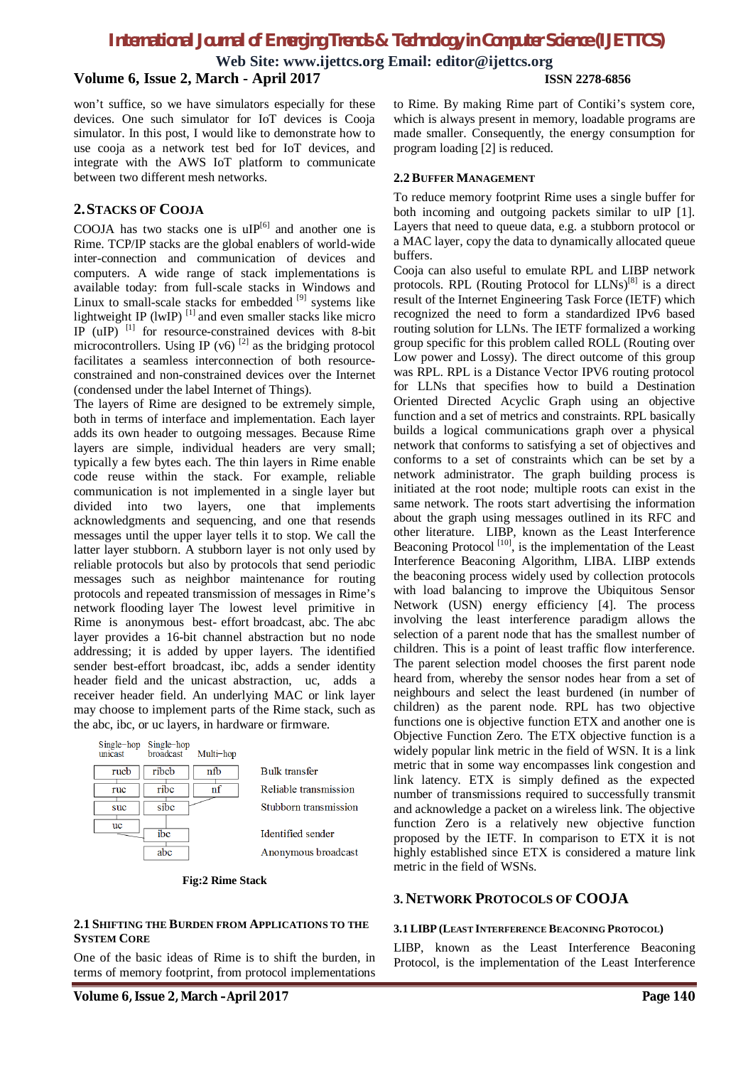**Web Site: www.ijettcs.org Email: editor@ijettcs.org**

## **Volume 6, Issue 2, March - April 2017 ISSN 2278-6856**

won't suffice, so we have simulators especially for these devices. One such simulator for IoT devices is Cooja simulator. In this post, I would like to demonstrate how to use cooja as a network test bed for IoT devices, and integrate with the AWS IoT platform to communicate between two different mesh networks.

#### **2.STACKS OF COOJA**

COOJA has two stacks one is  $\text{uIP}^{[6]}$  and another one is Rime. TCP/IP stacks are the global enablers of world-wide inter-connection and communication of devices and computers. A wide range of stack implementations is available today: from full-scale stacks in Windows and Linux to small-scale stacks for embedded [9] systems like lightweight IP (lwIP) $^{[1]}$  and even smaller stacks like micro IP  $(uIP)$ <sup>[1]</sup> for resource-constrained devices with 8-bit microcontrollers. Using IP (v6)  $^{[2]}$  as the bridging protocol facilitates a seamless interconnection of both resourceconstrained and non-constrained devices over the Internet (condensed under the label Internet of Things).

The layers of Rime are designed to be extremely simple, both in terms of interface and implementation. Each layer adds its own header to outgoing messages. Because Rime layers are simple, individual headers are very small; typically a few bytes each. The thin layers in Rime enable code reuse within the stack. For example, reliable communication is not implemented in a single layer but divided into two layers, one that implements acknowledgments and sequencing, and one that resends messages until the upper layer tells it to stop. We call the latter layer stubborn. A stubborn layer is not only used by reliable protocols but also by protocols that send periodic messages such as neighbor maintenance for routing protocols and repeated transmission of messages in Rime's network flooding layer The lowest level primitive in Rime is anonymous best- effort broadcast, abc. The abc layer provides a 16-bit channel abstraction but no node addressing; it is added by upper layers. The identified sender best-effort broadcast, ibc, adds a sender identity header field and the unicast abstraction, uc, adds a receiver header field. An underlying MAC or link layer may choose to implement parts of the Rime stack, such as the abc, ibc, or uc layers, in hardware or firmware.

| unicast | Single-hop Single-hop<br>broadcast | Multi-hop |                       |
|---------|------------------------------------|-----------|-----------------------|
| rucb    | ribcb                              | nfb       | <b>Bulk transfer</b>  |
| ruc     | ribc                               | nf        | Reliable transmission |
| suc     | sibc                               |           | Stubborn transmission |
| uc      | ibc                                |           | Identified sender     |
|         |                                    |           | Anonymous broadcast   |

**Fig:2 Rime Stack**

#### **2.1 SHIFTING THE BURDEN FROM APPLICATIONS TO THE SYSTEM CORE**

One of the basic ideas of Rime is to shift the burden, in terms of memory footprint, from protocol implementations

to Rime. By making Rime part of Contiki's system core, which is always present in memory, loadable programs are made smaller. Consequently, the energy consumption for program loading [2] is reduced.

#### **2.2 BUFFER MANAGEMENT**

To reduce memory footprint Rime uses a single buffer for both incoming and outgoing packets similar to uIP [1]. Layers that need to queue data, e.g. a stubborn protocol or a MAC layer, copy the data to dynamically allocated queue buffers.

Cooja can also useful to emulate RPL and LIBP network protocols. RPL (Routing Protocol for  $LLNs$ <sup>[8]</sup> is a direct result of the Internet Engineering Task Force (IETF) which recognized the need to form a standardized IPv6 based routing solution for LLNs. The IETF formalized a working group specific for this problem called ROLL (Routing over Low power and Lossy). The direct outcome of this group was RPL. RPL is a Distance Vector IPV6 routing protocol for LLNs that specifies how to build a Destination Oriented Directed Acyclic Graph using an objective function and a set of metrics and constraints. RPL basically builds a logical communications graph over a physical network that conforms to satisfying a set of objectives and conforms to a set of constraints which can be set by a network administrator. The graph building process is initiated at the root node; multiple roots can exist in the same network. The roots start advertising the information about the graph using messages outlined in its RFC and other literature. LIBP, known as the Least Interference Beaconing Protocol  $[10]$ , is the implementation of the Least Interference Beaconing Algorithm, LIBA. LIBP extends the beaconing process widely used by collection protocols with load balancing to improve the Ubiquitous Sensor Network (USN) energy efficiency [4]. The process involving the least interference paradigm allows the selection of a parent node that has the smallest number of children. This is a point of least traffic flow interference. The parent selection model chooses the first parent node heard from, whereby the sensor nodes hear from a set of neighbours and select the least burdened (in number of children) as the parent node. RPL has two objective functions one is objective function ETX and another one is Objective Function Zero. The ETX objective function is a widely popular link metric in the field of WSN. It is a link metric that in some way encompasses link congestion and link latency. ETX is simply defined as the expected number of transmissions required to successfully transmit and acknowledge a packet on a wireless link. The objective function Zero is a relatively new objective function proposed by the IETF. In comparison to ETX it is not highly established since ETX is considered a mature link metric in the field of WSNs.

### **3. NETWORK PROTOCOLS OF COOJA**

#### **3.1 LIBP (LEAST INTERFERENCE BEACONING PROTOCOL)**

LIBP, known as the Least Interference Beaconing Protocol, is the implementation of the Least Interference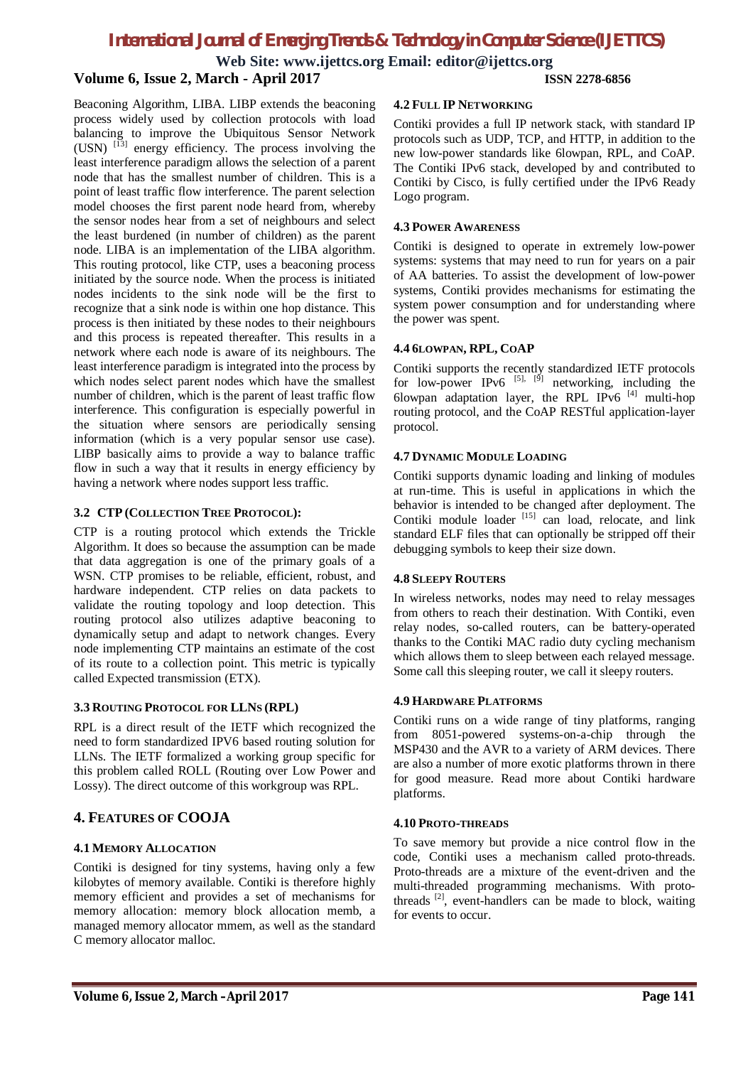**Web Site: www.ijettcs.org Email: editor@ijettcs.org**

# **Volume 6, Issue 2, March - April 2017 ISSN 2278-6856**

Beaconing Algorithm, LIBA. LIBP extends the beaconing process widely used by collection protocols with load balancing to improve the Ubiquitous Sensor Network  $(USN)$   $^{[13]}$  energy efficiency. The process involving the least interference paradigm allows the selection of a parent node that has the smallest number of children. This is a point of least traffic flow interference. The parent selection model chooses the first parent node heard from, whereby the sensor nodes hear from a set of neighbours and select the least burdened (in number of children) as the parent node. LIBA is an implementation of the LIBA algorithm. This routing protocol, like CTP, uses a beaconing process initiated by the source node. When the process is initiated nodes incidents to the sink node will be the first to recognize that a sink node is within one hop distance. This process is then initiated by these nodes to their neighbours and this process is repeated thereafter. This results in a network where each node is aware of its neighbours. The least interference paradigm is integrated into the process by which nodes select parent nodes which have the smallest number of children, which is the parent of least traffic flow interference. This configuration is especially powerful in the situation where sensors are periodically sensing information (which is a very popular sensor use case). LIBP basically aims to provide a way to balance traffic flow in such a way that it results in energy efficiency by having a network where nodes support less traffic.

### **3.2 CTP (COLLECTION TREE PROTOCOL):**

CTP is a routing protocol which extends the Trickle Algorithm. It does so because the assumption can be made that data aggregation is one of the primary goals of a WSN. CTP promises to be reliable, efficient, robust, and hardware independent. CTP relies on data packets to validate the routing topology and loop detection. This routing protocol also utilizes adaptive beaconing to dynamically setup and adapt to network changes. Every node implementing CTP maintains an estimate of the cost of its route to a collection point. This metric is typically called Expected transmission (ETX).

### **3.3 ROUTING PROTOCOL FOR LLNS (RPL)**

RPL is a direct result of the IETF which recognized the need to form standardized IPV6 based routing solution for LLNs. The IETF formalized a working group specific for this problem called ROLL (Routing over Low Power and Lossy). The direct outcome of this workgroup was RPL.

# **4. FEATURES OF COOJA**

### **4.1 MEMORY ALLOCATION**

Contiki is designed for tiny systems, having only a few kilobytes of memory available. Contiki is therefore highly memory efficient and provides a set of mechanisms for memory allocation: memory block allocation memb, a managed memory allocator mmem, as well as the standard C memory allocator malloc.

#### **4.2 FULL IP NETWORKING**

Contiki provides a full IP network stack, with standard IP protocols such as UDP, TCP, and HTTP, in addition to the new low-power standards like 6lowpan, RPL, and CoAP. The Contiki IPv6 stack, developed by and contributed to Contiki by Cisco, is fully certified under the IPv6 Ready Logo program.

#### **4.3 POWER AWARENESS**

Contiki is designed to operate in extremely low-power systems: systems that may need to run for years on a pair of AA batteries. To assist the development of low-power systems, Contiki provides mechanisms for estimating the system power consumption and for understanding where the power was spent.

#### **4.4 6LOWPAN, RPL, COAP**

Contiki supports the recently standardized IETF protocols for low-power IPv6  $^{[5]}$ ,  $^{[9]}$  networking, including the 6lowpan adaptation layer, the RPL IPv6  $^{[4]}$  multi-hop routing protocol, and the CoAP RESTful application-layer protocol.

#### **4.7 DYNAMIC MODULE LOADING**

Contiki supports dynamic loading and linking of modules at run-time. This is useful in applications in which the behavior is intended to be changed after deployment. The Contiki module loader<sup>[15]</sup> can load, relocate, and link standard ELF files that can optionally be stripped off their debugging symbols to keep their size down.

#### **4.8 SLEEPY ROUTERS**

In wireless networks, nodes may need to relay messages from others to reach their destination. With Contiki, even relay nodes, so-called routers, can be battery-operated thanks to the Contiki MAC radio duty cycling mechanism which allows them to sleep between each relayed message. Some call this sleeping router, we call it sleepy routers.

#### **4.9 HARDWARE PLATFORMS**

Contiki runs on a wide range of tiny platforms, ranging from 8051-powered systems-on-a-chip through the MSP430 and the AVR to a variety of ARM devices. There are also a number of more exotic platforms thrown in there for good measure. Read more about Contiki hardware platforms.

#### **4.10 PROTO-THREADS**

To save memory but provide a nice control flow in the code, Contiki uses a mechanism called proto-threads. Proto-threads are a mixture of the event-driven and the multi-threaded programming mechanisms. With protothreads [2], event-handlers can be made to block, waiting for events to occur.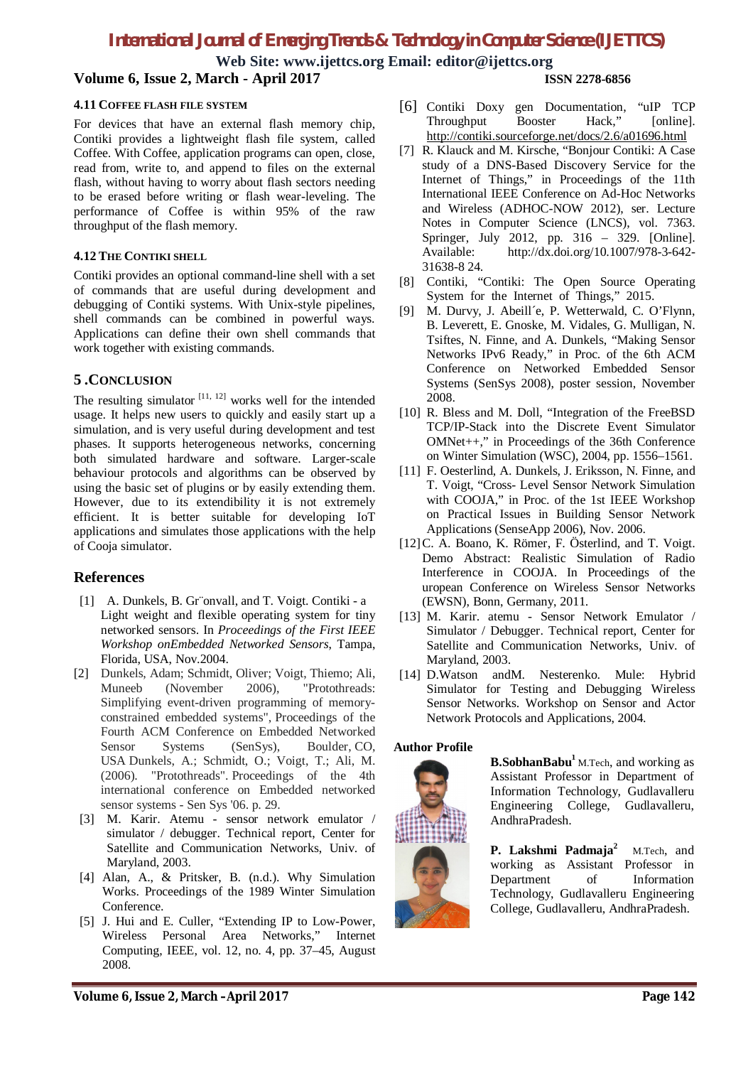**Web Site: www.ijettcs.org Email: editor@ijettcs.org**

## **Volume 6, Issue 2, March - April 2017 ISSN 2278-6856**

## **4.11 COFFEE FLASH FILE SYSTEM**

For devices that have an external flash memory chip, Contiki provides a lightweight flash file system, called Coffee. With Coffee, application programs can open, close, read from, write to, and append to files on the external flash, without having to worry about flash sectors needing to be erased before writing or flash wear-leveling. The performance of Coffee is within 95% of the raw throughput of the flash memory.

#### **4.12 THE CONTIKI SHELL**

Contiki provides an optional command-line shell with a set of commands that are useful during development and debugging of Contiki systems. With Unix-style pipelines, shell commands can be combined in powerful ways. Applications can define their own shell commands that work together with existing commands.

## **5 .CONCLUSION**

The resulting simulator  $[11, 12]$  works well for the intended usage. It helps new users to quickly and easily start up a simulation, and is very useful during development and test phases. It supports heterogeneous networks, concerning both simulated hardware and software. Larger-scale behaviour protocols and algorithms can be observed by using the basic set of plugins or by easily extending them. However, due to its extendibility it is not extremely efficient. It is better suitable for developing IoT applications and simulates those applications with the help of Cooja simulator.

### **References**

- [1] A. Dunkels, B. Gr onvall, and T. Voigt. Contiki a Light weight and flexible operating system for tiny networked sensors. In *Proceedings of the First IEEE Workshop onEmbedded Networked Sensors*, Tampa, Florida, USA, Nov.2004.
- [2] Dunkels, Adam; Schmidt, Oliver; Voigt, Thiemo; Ali, Muneeb (November 2006), "Protothreads: Simplifying event-driven programming of memoryconstrained embedded systems", Proceedings of the Fourth ACM Conference on Embedded Networked Sensor Systems (SenSys), Boulder, CO, USA Dunkels, A.; Schmidt, O.; Voigt, T.; Ali, M. (2006). "Protothreads". Proceedings of the 4th international conference on Embedded networked sensor systems - Sen Sys '06. p. 29.
- [3] M. Karir. Atemu sensor network emulator / simulator / debugger. Technical report, Center for Satellite and Communication Networks, Univ. of Maryland, 2003.
- [4] Alan, A., & Pritsker, B. (n.d.). Why Simulation Works. Proceedings of the 1989 Winter Simulation Conference.
- [5] J. Hui and E. Culler, "Extending IP to Low-Power, Wireless Personal Area Networks," Internet Computing, IEEE, vol. 12, no. 4, pp. 37–45, August 2008.
- 
- [6] Contiki Doxy gen Documentation, "uIP TCP Throughput Booster Hack," [online]. http://contiki.sourceforge.net/docs/2.6/a01696.html
- [7] R. Klauck and M. Kirsche, "Bonjour Contiki: A Case study of a DNS-Based Discovery Service for the Internet of Things," in Proceedings of the 11th International IEEE Conference on Ad-Hoc Networks and Wireless (ADHOC-NOW 2012), ser. Lecture Notes in Computer Science (LNCS), vol. 7363. Springer, July 2012, pp. 316 – 329. [Online]. Available: http://dx.doi.org/10.1007/978-3-642- 31638-8 24.
- [8] Contiki, "Contiki: The Open Source Operating System for the Internet of Things," 2015.
- [9] M. Durvy, J. Abeill´e, P. Wetterwald, C. O'Flynn, B. Leverett, E. Gnoske, M. Vidales, G. Mulligan, N. Tsiftes, N. Finne, and A. Dunkels, "Making Sensor Networks IPv6 Ready," in Proc. of the 6th ACM Conference on Networked Embedded Sensor Systems (SenSys 2008), poster session, November 2008.
- [10] R. Bless and M. Doll, "Integration of the FreeBSD TCP/IP-Stack into the Discrete Event Simulator OMNet++," in Proceedings of the 36th Conference on Winter Simulation (WSC), 2004, pp. 1556–1561.
- [11] F. Oesterlind, A. Dunkels, J. Eriksson, N. Finne, and T. Voigt, "Cross- Level Sensor Network Simulation with COOJA," in Proc. of the 1st IEEE Workshop on Practical Issues in Building Sensor Network Applications (SenseApp 2006), Nov. 2006.
- [12] C. A. Boano, K. Römer, F. Österlind, and T. Voigt. Demo Abstract: Realistic Simulation of Radio Interference in COOJA. In Proceedings of the uropean Conference on Wireless Sensor Networks (EWSN), Bonn, Germany, 2011.
- [13] M. Karir. atemu Sensor Network Emulator / Simulator / Debugger. Technical report, Center for Satellite and Communication Networks, Univ. of Maryland, 2003.
- [14] D.Watson andM. Nesterenko. Mule: Hybrid Simulator for Testing and Debugging Wireless Sensor Networks. Workshop on Sensor and Actor Network Protocols and Applications, 2004.

#### **Author Profile**



**B.SobhanBabu<sup>1</sup>** M.Tech, and working as Assistant Professor in Department of Information Technology, Gudlavalleru Engineering College, Gudlavalleru, AndhraPradesh.

**P. Lakshmi Padmaja<sup>2</sup>** M.Tech, and working as Assistant Professor in Department of Information Technology, Gudlavalleru Engineering College, Gudlavalleru, AndhraPradesh.